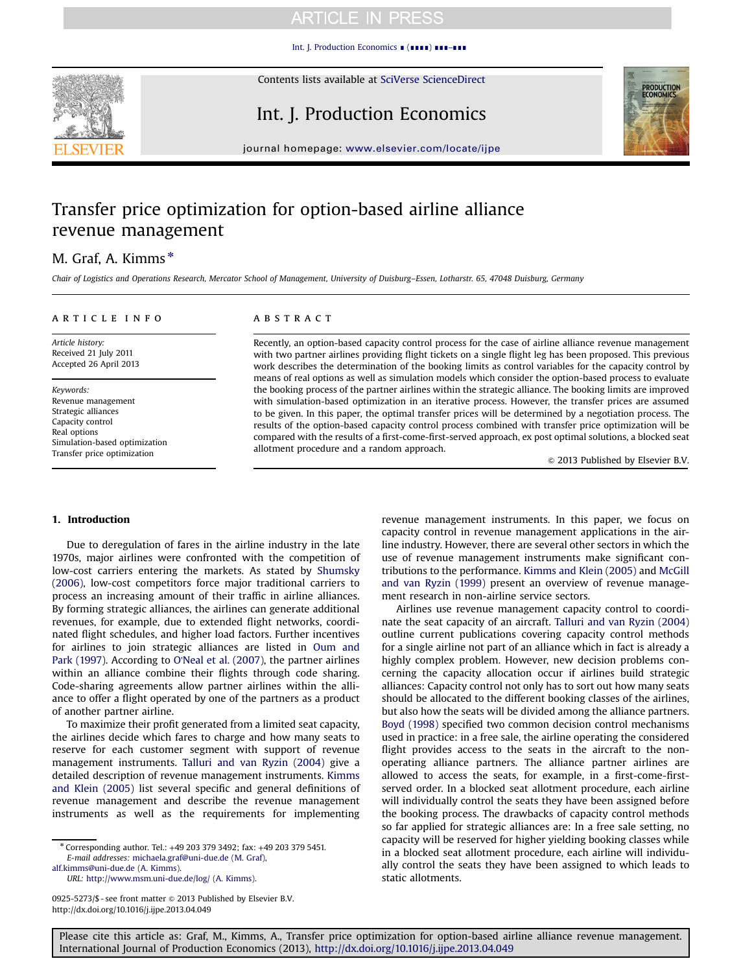### **ARTICLE IN PRESS**

[Int. J. Production Economics](http://dx.doi.org/10.1016/j.ijpe.2013.04.049) ∎ (∎∎∎∎) ∎∎∎–∎∎∎



Contents lists available at SciVerse ScienceDirect

## Int. J. Production Economics



journal homepage: <www.elsevier.com/locate/ijpe>

## Transfer price optimization for option-based airline alliance revenue management

### M. Graf, A. Kimms<sup>\*</sup>

Chair of Logistics and Operations Research, Mercator School of Management, University of Duisburg–Essen, Lotharstr. 65, 47048 Duisburg, Germany

#### article info

Article history: Received 21 July 2011 Accepted 26 April 2013

Keywords: Revenue management Strategic alliances Capacity control Real options Simulation-based optimization Transfer price optimization

### ABSTRACT

Recently, an option-based capacity control process for the case of airline alliance revenue management with two partner airlines providing flight tickets on a single flight leg has been proposed. This previous work describes the determination of the booking limits as control variables for the capacity control by means of real options as well as simulation models which consider the option-based process to evaluate the booking process of the partner airlines within the strategic alliance. The booking limits are improved with simulation-based optimization in an iterative process. However, the transfer prices are assumed to be given. In this paper, the optimal transfer prices will be determined by a negotiation process. The results of the option-based capacity control process combined with transfer price optimization will be compared with the results of a first-come-first-served approach, ex post optimal solutions, a blocked seat allotment procedure and a random approach.

 $\odot$  2013 Published by Elsevier B.V.

#### 1. Introduction

Due to deregulation of fares in the airline industry in the late 1970s, major airlines were confronted with the competition of low-cost carriers entering the markets. As stated by [Shumsky](#page--1-0) [\(2006\),](#page--1-0) low-cost competitors force major traditional carriers to process an increasing amount of their traffic in airline alliances. By forming strategic alliances, the airlines can generate additional revenues, for example, due to extended flight networks, coordinated flight schedules, and higher load factors. Further incentives for airlines to join strategic alliances are listed in [Oum and](#page--1-0) [Park \(1997\)](#page--1-0). According to O'[Neal et al. \(2007\)](#page--1-0), the partner airlines within an alliance combine their flights through code sharing. Code-sharing agreements allow partner airlines within the alliance to offer a flight operated by one of the partners as a product of another partner airline.

To maximize their profit generated from a limited seat capacity, the airlines decide which fares to charge and how many seats to reserve for each customer segment with support of revenue management instruments. [Talluri and van Ryzin \(2004\)](#page--1-0) give a detailed description of revenue management instruments. [Kimms](#page--1-0) [and Klein \(2005\)](#page--1-0) list several specific and general definitions of revenue management and describe the revenue management instruments as well as the requirements for implementing

[alf.kimms@uni-due.de \(A. Kimms\).](mailto:alf.kimms@uni-due.de) URL: [http://www.msm.uni-due.de/log/ \(A. Kimms\).](mailto:http://www.msm.uni-due.de/log/a4.3d)

0925-5273/\$ - see front matter  $\odot$  2013 Published by Elsevier B.V. <http://dx.doi.org/10.1016/j.ijpe.2013.04.049>

revenue management instruments. In this paper, we focus on capacity control in revenue management applications in the airline industry. However, there are several other sectors in which the use of revenue management instruments make significant contributions to the performance. [Kimms and Klein \(2005\)](#page--1-0) and [McGill](#page--1-0) [and van Ryzin \(1999\)](#page--1-0) present an overview of revenue management research in non-airline service sectors.

Airlines use revenue management capacity control to coordinate the seat capacity of an aircraft. [Talluri and van Ryzin \(2004\)](#page--1-0) outline current publications covering capacity control methods for a single airline not part of an alliance which in fact is already a highly complex problem. However, new decision problems concerning the capacity allocation occur if airlines build strategic alliances: Capacity control not only has to sort out how many seats should be allocated to the different booking classes of the airlines, but also how the seats will be divided among the alliance partners. [Boyd \(1998\)](#page--1-0) specified two common decision control mechanisms used in practice: in a free sale, the airline operating the considered flight provides access to the seats in the aircraft to the nonoperating alliance partners. The alliance partner airlines are allowed to access the seats, for example, in a first-come-firstserved order. In a blocked seat allotment procedure, each airline will individually control the seats they have been assigned before the booking process. The drawbacks of capacity control methods so far applied for strategic alliances are: In a free sale setting, no capacity will be reserved for higher yielding booking classes while in a blocked seat allotment procedure, each airline will individually control the seats they have been assigned to which leads to static allotments.

Please cite this article as: Graf, M., Kimms, A., Transfer price optimization for option-based airline alliance revenue management. International Journal of Production Economics (2013), [http://dx.doi.org/10.1016/j.ijpe.2013.04.049i](http://dx.doi.org/10.1016/j.ijpe.2013.04.049)

<sup>n</sup> Corresponding author. Tel.: +49 203 379 3492; fax: +49 203 379 5451. E-mail addresses: [michaela.graf@uni-due.de \(M. Graf\),](mailto:michaela.graf@uni-due.de)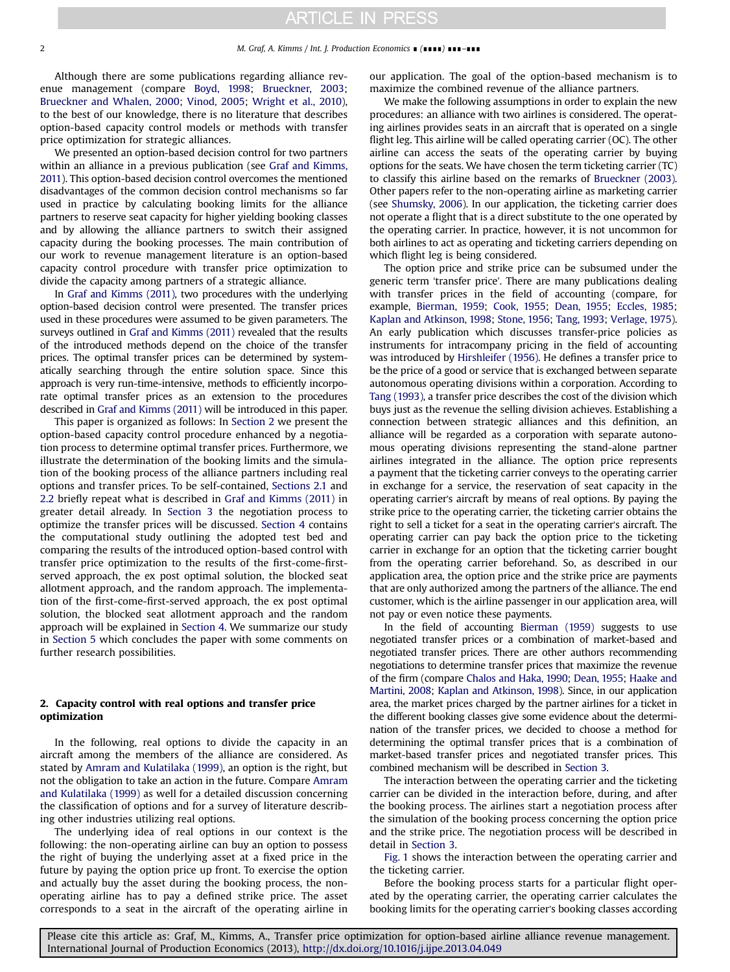Although there are some publications regarding alliance revenue management (compare [Boyd, 1998](#page--1-0); [Brueckner, 2003;](#page--1-0) [Brueckner and Whalen, 2000;](#page--1-0) [Vinod, 2005;](#page--1-0) [Wright et al., 2010\)](#page--1-0), to the best of our knowledge, there is no literature that describes option-based capacity control models or methods with transfer price optimization for strategic alliances.

We presented an option-based decision control for two partners within an alliance in a previous publication (see [Graf and Kimms,](#page--1-0) [2011](#page--1-0)). This option-based decision control overcomes the mentioned disadvantages of the common decision control mechanisms so far used in practice by calculating booking limits for the alliance partners to reserve seat capacity for higher yielding booking classes and by allowing the alliance partners to switch their assigned capacity during the booking processes. The main contribution of our work to revenue management literature is an option-based capacity control procedure with transfer price optimization to divide the capacity among partners of a strategic alliance.

In [Graf and Kimms \(2011\),](#page--1-0) two procedures with the underlying option-based decision control were presented. The transfer prices used in these procedures were assumed to be given parameters. The surveys outlined in [Graf and Kimms \(2011\)](#page--1-0) revealed that the results of the introduced methods depend on the choice of the transfer prices. The optimal transfer prices can be determined by systematically searching through the entire solution space. Since this approach is very run-time-intensive, methods to efficiently incorporate optimal transfer prices as an extension to the procedures described in [Graf and Kimms \(2011\)](#page--1-0) will be introduced in this paper.

This paper is organized as follows: In Section 2 we present the option-based capacity control procedure enhanced by a negotiation process to determine optimal transfer prices. Furthermore, we illustrate the determination of the booking limits and the simulation of the booking process of the alliance partners including real options and transfer prices. To be self-contained, [Sections 2.1](#page--1-0) and [2.2](#page--1-0) briefly repeat what is described in [Graf and Kimms \(2011\)](#page--1-0) in greater detail already. In [Section 3](#page--1-0) the negotiation process to optimize the transfer prices will be discussed. [Section 4](#page--1-0) contains the computational study outlining the adopted test bed and comparing the results of the introduced option-based control with transfer price optimization to the results of the first-come-firstserved approach, the ex post optimal solution, the blocked seat allotment approach, and the random approach. The implementation of the first-come-first-served approach, the ex post optimal solution, the blocked seat allotment approach and the random approach will be explained in [Section 4](#page--1-0). We summarize our study in [Section 5](#page--1-0) which concludes the paper with some comments on further research possibilities.

#### 2. Capacity control with real options and transfer price optimization

In the following, real options to divide the capacity in an aircraft among the members of the alliance are considered. As stated by [Amram and Kulatilaka \(1999\),](#page--1-0) an option is the right, but not the obligation to take an action in the future. Compare [Amram](#page--1-0) [and Kulatilaka \(1999\)](#page--1-0) as well for a detailed discussion concerning the classification of options and for a survey of literature describing other industries utilizing real options.

The underlying idea of real options in our context is the following: the non-operating airline can buy an option to possess the right of buying the underlying asset at a fixed price in the future by paying the option price up front. To exercise the option and actually buy the asset during the booking process, the nonoperating airline has to pay a defined strike price. The asset corresponds to a seat in the aircraft of the operating airline in our application. The goal of the option-based mechanism is to maximize the combined revenue of the alliance partners.

We make the following assumptions in order to explain the new procedures: an alliance with two airlines is considered. The operating airlines provides seats in an aircraft that is operated on a single flight leg. This airline will be called operating carrier (OC). The other airline can access the seats of the operating carrier by buying options for the seats. We have chosen the term ticketing carrier (TC) to classify this airline based on the remarks of [Brueckner \(2003\).](#page--1-0) Other papers refer to the non-operating airline as marketing carrier (see [Shumsky, 2006](#page--1-0)). In our application, the ticketing carrier does not operate a flight that is a direct substitute to the one operated by the operating carrier. In practice, however, it is not uncommon for both airlines to act as operating and ticketing carriers depending on which flight leg is being considered.

The option price and strike price can be subsumed under the generic term 'transfer price'. There are many publications dealing with transfer prices in the field of accounting (compare, for example, [Bierman, 1959](#page--1-0); [Cook, 1955](#page--1-0); [Dean, 1955](#page--1-0); [Eccles, 1985;](#page--1-0) [Kaplan and Atkinson, 1998;](#page--1-0) [Stone, 1956;](#page--1-0) [Tang, 1993](#page--1-0); [Verlage, 1975\)](#page--1-0). An early publication which discusses transfer-price policies as instruments for intracompany pricing in the field of accounting was introduced by [Hirshleifer \(1956\)](#page--1-0). He defines a transfer price to be the price of a good or service that is exchanged between separate autonomous operating divisions within a corporation. According to [Tang \(1993\)](#page--1-0), a transfer price describes the cost of the division which buys just as the revenue the selling division achieves. Establishing a connection between strategic alliances and this definition, an alliance will be regarded as a corporation with separate autonomous operating divisions representing the stand-alone partner airlines integrated in the alliance. The option price represents a payment that the ticketing carrier conveys to the operating carrier in exchange for a service, the reservation of seat capacity in the operating carrier's aircraft by means of real options. By paying the strike price to the operating carrier, the ticketing carrier obtains the right to sell a ticket for a seat in the operating carrier's aircraft. The operating carrier can pay back the option price to the ticketing carrier in exchange for an option that the ticketing carrier bought from the operating carrier beforehand. So, as described in our application area, the option price and the strike price are payments that are only authorized among the partners of the alliance. The end customer, which is the airline passenger in our application area, will not pay or even notice these payments.

In the field of accounting [Bierman \(1959\)](#page--1-0) suggests to use negotiated transfer prices or a combination of market-based and negotiated transfer prices. There are other authors recommending negotiations to determine transfer prices that maximize the revenue of the firm (compare [Chalos and Haka, 1990](#page--1-0); [Dean, 1955;](#page--1-0) [Haake and](#page--1-0) [Martini, 2008;](#page--1-0) [Kaplan and Atkinson, 1998](#page--1-0)). Since, in our application area, the market prices charged by the partner airlines for a ticket in the different booking classes give some evidence about the determination of the transfer prices, we decided to choose a method for determining the optimal transfer prices that is a combination of market-based transfer prices and negotiated transfer prices. This combined mechanism will be described in [Section 3.](#page--1-0)

The interaction between the operating carrier and the ticketing carrier can be divided in the interaction before, during, and after the booking process. The airlines start a negotiation process after the simulation of the booking process concerning the option price and the strike price. The negotiation process will be described in detail in [Section 3](#page--1-0).

[Fig. 1](#page--1-0) shows the interaction between the operating carrier and the ticketing carrier.

Before the booking process starts for a particular flight operated by the operating carrier, the operating carrier calculates the booking limits for the operating carrier's booking classes according

Please cite this article as: Graf, M., Kimms, A., Transfer price optimization for option-based airline alliance revenue management. International Journal of Production Economics (2013), [http://dx.doi.org/10.1016/j.ijpe.2013.04.049i](http://dx.doi.org/10.1016/j.ijpe.2013.04.049)